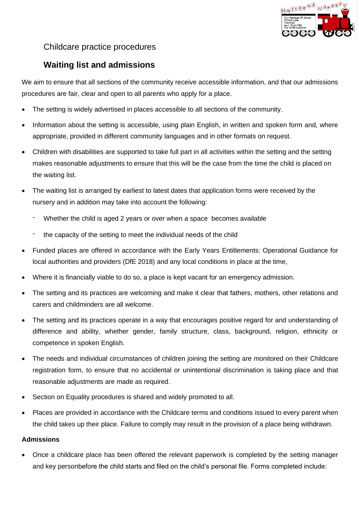

## Childcare practice procedures

# **Waiting list and admissions**

We aim to ensure that all sections of the community receive accessible information, and that our admissions procedures are fair, clear and open to all parents who apply for a place.

- The setting is widely advertised in places accessible to all sections of the community.
- Information about the setting is accessible, using plain English, in written and spoken form and, where appropriate, provided in different community languages and in other formats on request.
- Children with disabilities are supported to take full part in all activities within the setting and the setting makes reasonable adjustments to ensure that this will be the case from the time the child is placed on the waiting list.
- The waiting list is arranged by earliest to latest dates that application forms were received by the nursery and in addition may take into account the following:
	- Whether the child is aged 2 years or over when a space becomes available
	- the capacity of the setting to meet the individual needs of the child
- Funded places are offered in accordance with the Early Years Entitlements: Operational Guidance for local authorities and providers (DfE 2018) and any local conditions in place at the time,
- Where it is financially viable to do so, a place is kept vacant for an emergency admission.
- The setting and its practices are welcoming and make it clear that fathers, mothers, other relations and carers and childminders are all welcome.
- The setting and its practices operate in a way that encourages positive regard for and understanding of difference and ability, whether gender, family structure, class, background, religion, ethnicity or competence in spoken English.
- The needs and individual circumstances of children joining the setting are monitored on their Childcare registration form, to ensure that no accidental or unintentional discrimination is taking place and that reasonable adjustments are made as required.
- Section on Equality procedures is shared and widely promoted to all.
- Places are provided in accordance with the Childcare terms and conditions issued to every parent when the child takes up their place. Failure to comply may result in the provision of a place being withdrawn.

### **Admissions**

• Once a childcare place has been offered the relevant paperwork is completed by the setting manager and key personbefore the child starts and filed on the child's personal file. Forms completed include: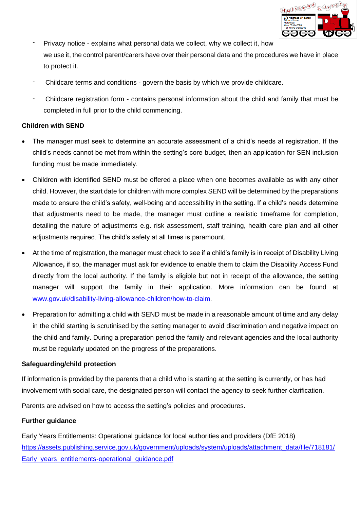

- Privacy notice explains what personal data we collect, why we collect it, how we use it, the control parent/carers have over their personal data and the procedures we have in place to protect it.
- Childcare terms and conditions govern the basis by which we provide childcare.
- Childcare registration form contains personal information about the child and family that must be completed in full prior to the child commencing.

### **Children with SEND**

- The manager must seek to determine an accurate assessment of a child's needs at registration. If the child's needs cannot be met from within the setting's core budget, then an application for SEN inclusion funding must be made immediately.
- Children with identified SEND must be offered a place when one becomes available as with any other child. However, the start date for children with more complex SEND will be determined by the preparations made to ensure the child's safety, well-being and accessibility in the setting. If a child's needs determine that adjustments need to be made, the manager must outline a realistic timeframe for completion, detailing the nature of adjustments e.g. risk assessment, staff training, health care plan and all other adjustments required. The child's safety at all times is paramount.
- At the time of registration, the manager must check to see if a child's family is in receipt of Disability Living Allowance**,** if so, the manager must ask for evidence to enable them to claim the Disability Access Fund directly from the local authority. If the family is eligible but not in receipt of the allowance, the setting manager will support the family in their application. More information can be found at [www.gov.uk/disability-living-allowance-children/how-to-claim.](http://www.gov.uk/disability-living-allowance-children/how-to-claim)
- Preparation for admitting a child with SEND must be made in a reasonable amount of time and any delay in the child starting is scrutinised by the setting manager to avoid discrimination and negative impact on the child and family. During a preparation period the family and relevant agencies and the local authority must be regularly updated on the progress of the preparations.

#### **Safeguarding/child protection**

If information is provided by the parents that a child who is starting at the setting is currently, or has had involvement with social care, the designated person will contact the agency to seek further clarification.

Parents are advised on how to access the setting's policies and procedures.

### **Further guidance**

Early Years Entitlements: Operational guidance for local authorities and providers (DfE 2018) [https://assets.publishing.service.gov.uk/government/uploads/system/uploads/attachment\\_data/file/718181/](https://assets.publishing.service.gov.uk/government/uploads/system/uploads/attachment_data/file/718181/Early_years_entitlements-operational_guidance.pdf) Early\_years\_entitlements-operational\_quidance.pdf